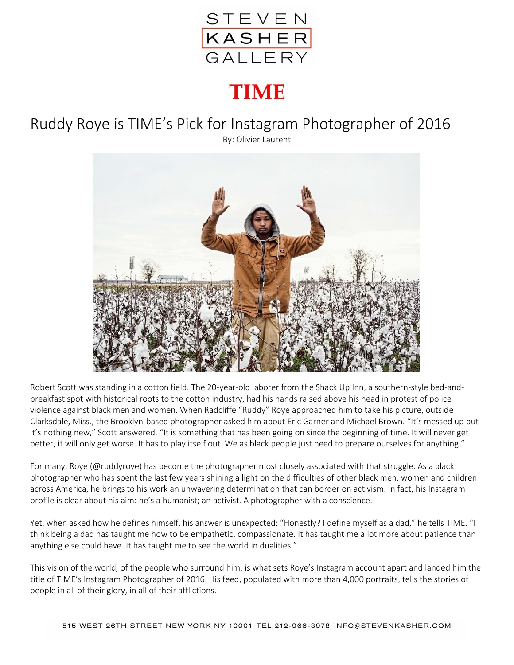

## **TIME**

## Ruddy Roye is TIME's Pick for Instagram Photographer of 2016

By: Olivier Laurent



Robert Scott was standing in a cotton field. The 20-year-old laborer from the Shack Up Inn, a southern-style bed-andbreakfast spot with historical roots to the cotton industry, had his hands raised above his head in protest of police violence against black men and women. When Radcliffe "Ruddy" Roye approached him to take his picture, outside Clarksdale, Miss., the Brooklyn-based photographer asked him about Eric Garner and Michael Brown. "It's messed up but it's nothing new," Scott answered. "It is something that has been going on since the beginning of time. It will never get better, it will only get worse. It has to play itself out. We as black people just need to prepare ourselves for anything."

For many, Roye (@ruddyroye) has become the photographer most closely associated with that struggle. As a black photographer who has spent the last few years shining a light on the difficulties of other black men, women and children across America, he brings to his work an unwavering determination that can border on activism. In fact, his Instagram profile is clear about his aim: he's a humanist; an activist. A photographer with a conscience.

Yet, when asked how he defines himself, his answer is unexpected: "Honestly? I define myself as a dad," he tells TIME. "I think being a dad has taught me how to be empathetic, compassionate. It has taught me a lot more about patience than anything else could have. It has taught me to see the world in dualities."

This vision of the world, of the people who surround him, is what sets Roye's Instagram account apart and landed him the title of TIME's Instagram Photographer of 2016. His feed, populated with more than 4,000 portraits, tells the stories of people in all of their glory, in all of their afflictions.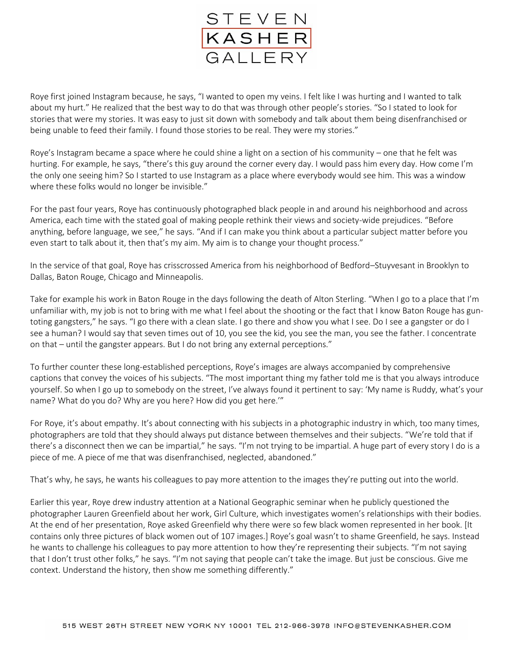

Roye first joined Instagram because, he says, "I wanted to open my veins. I felt like I was hurting and I wanted to talk about my hurt." He realized that the best way to do that was through other people's stories. "So I stated to look for stories that were my stories. It was easy to just sit down with somebody and talk about them being disenfranchised or being unable to feed their family. I found those stories to be real. They were my stories."

Roye's Instagram became a space where he could shine a light on a section of his community – one that he felt was hurting. For example, he says, "there's this guy around the corner every day. I would pass him every day. How come I'm the only one seeing him? So I started to use Instagram as a place where everybody would see him. This was a window where these folks would no longer be invisible."

For the past four years, Roye has continuously photographed black people in and around his neighborhood and across America, each time with the stated goal of making people rethink their views and society-wide prejudices. "Before anything, before language, we see," he says. "And if I can make you think about a particular subject matter before you even start to talk about it, then that's my aim. My aim is to change your thought process."

In the service of that goal, Roye has crisscrossed America from his neighborhood of Bedford–Stuyvesant in Brooklyn to Dallas, Baton Rouge, Chicago and Minneapolis.

Take for example his work in Baton Rouge in the days following the death of Alton Sterling. "When I go to a place that I'm unfamiliar with, my job is not to bring with me what I feel about the shooting or the fact that I know Baton Rouge has guntoting gangsters," he says. "I go there with a clean slate. I go there and show you what I see. Do I see a gangster or do I see a human? I would say that seven times out of 10, you see the kid, you see the man, you see the father. I concentrate on that – until the gangster appears. But I do not bring any external perceptions."

To further counter these long-established perceptions, Roye's images are always accompanied by comprehensive captions that convey the voices of his subjects. "The most important thing my father told me is that you always introduce yourself. So when I go up to somebody on the street, I've always found it pertinent to say: 'My name is Ruddy, what's your name? What do you do? Why are you here? How did you get here.'"

For Roye, it's about empathy. It's about connecting with his subjects in a photographic industry in which, too many times, photographers are told that they should always put distance between themselves and their subjects. "We're told that if there's a disconnect then we can be impartial," he says. "I'm not trying to be impartial. A huge part of every story I do is a piece of me. A piece of me that was disenfranchised, neglected, abandoned."

That's why, he says, he wants his colleagues to pay more attention to the images they're putting out into the world.

Earlier this year, Roye drew industry attention at a National Geographic seminar when he publicly questioned the photographer Lauren Greenfield about her work, Girl Culture, which investigates women's relationships with their bodies. At the end of her presentation, Roye asked Greenfield why there were so few black women represented in her book. [It contains only three pictures of black women out of 107 images.] Roye's goal wasn't to shame Greenfield, he says. Instead he wants to challenge his colleagues to pay more attention to how they're representing their subjects. "I'm not saying that I don't trust other folks," he says. "I'm not saying that people can't take the image. But just be conscious. Give me context. Understand the history, then show me something differently."